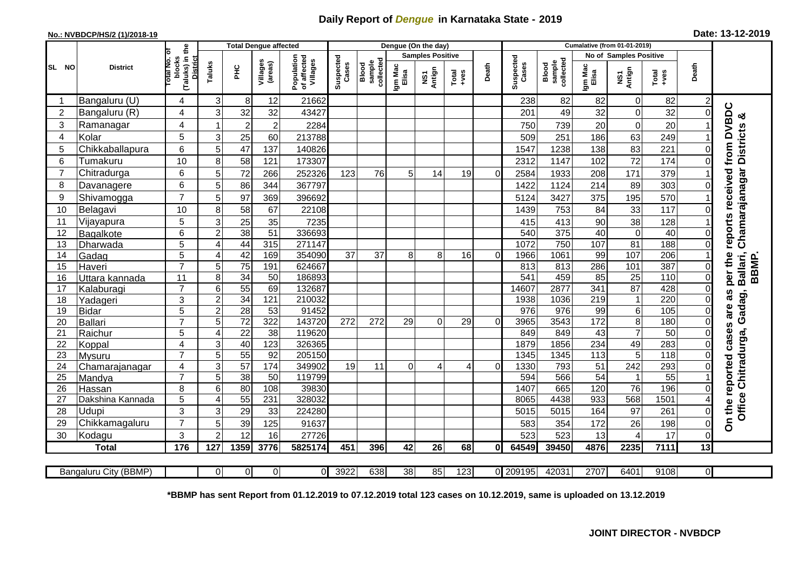## **Daily Report of** *Dengue* **in Karnataka State - 2019**

## **No.: NVBDCP/HS/2 (1)/2018-19**

|  |  | Date: 13-12-2019 |  |
|--|--|------------------|--|
|--|--|------------------|--|

|                          |                          | <b>Total Dengue affected</b>                                 |                |                       |                        |                                       |                    |                              | Dengue (On the day)     |              |                   |          |                    |                              |                       |                         |                 |                               |                              |  |
|--------------------------|--------------------------|--------------------------------------------------------------|----------------|-----------------------|------------------------|---------------------------------------|--------------------|------------------------------|-------------------------|--------------|-------------------|----------|--------------------|------------------------------|-----------------------|-------------------------|-----------------|-------------------------------|------------------------------|--|
|                          |                          |                                                              |                |                       |                        |                                       |                    |                              | <b>Samples Positive</b> |              |                   |          |                    |                              |                       |                         |                 | <b>No of Samples Positive</b> |                              |  |
| SL NO                    | <b>District</b>          | (Taluks) in the<br>rotal No. of<br>blocks<br><b>District</b> | Taluks         | ŦЕ                    | Villages<br>(areas)    | Population<br>of affected<br>Villages | Suspected<br>Cases | collected<br>sample<br>Blood | Igm Mac<br>Elisa        | Antign<br>Σń | Total<br>$+ve$ es | Death    | Suspected<br>Cases | collected<br>sample<br>Blood | Igm Mac<br>Elisa      | NS1<br>Antign           | Total<br>+ves   | Death                         |                              |  |
|                          | Bangaluru (U)            | 4                                                            | 3              | 8                     | 12                     | 21662                                 |                    |                              |                         |              |                   |          | 238                | 82                           | 82                    | $\mathbf 0$             | 82              | $\overline{2}$                |                              |  |
| $\overline{2}$           | Bangaluru (R)            | 4                                                            | 3              | 32                    | 32                     | 43427                                 |                    |                              |                         |              |                   |          | 201                | 49                           | 32                    | $\mathbf 0$             | 32              | $\Omega$                      | ఱ                            |  |
| 3                        | Ramanagar                | 4                                                            |                | $\overline{2}$        | $\overline{2}$         | 2284                                  |                    |                              |                         |              |                   |          | 750                | 739                          | 20                    | $\mathbf 0$             | 20              |                               | reports received from DVBDC  |  |
| $\overline{\mathcal{L}}$ | Kolar                    | 5                                                            | 3              | 25                    | 60                     | 213788                                |                    |                              |                         |              |                   |          | 509                | 251                          | 186                   | 63                      | 249             |                               |                              |  |
| 5                        | Chikkaballapura          | 6                                                            | 5              | 47                    | 137                    | 140826                                |                    |                              |                         |              |                   |          | 1547               | 1238                         | 138                   | 83                      | 221             | 0                             |                              |  |
| 6                        | Tumakuru                 | 10                                                           | 8              | 58                    | 121                    | 173307                                |                    |                              |                         |              |                   |          | 2312               | 1147                         | 102                   | 72                      | 174             | $\Omega$                      |                              |  |
| $\overline{7}$           | Chitradurga              | 6                                                            | 5              | 72                    | 266                    | 252326                                | 123                | 76                           | 5                       | 14           | 19                | $\Omega$ | 2584               | 1933                         | 208                   | 171                     | 379             |                               |                              |  |
| 8                        | Davanagere               | 6                                                            | 5              | 86                    | 344                    | 367797                                |                    |                              |                         |              |                   |          | 1422               | 1124                         | 214                   | 89                      | 303             | 0                             |                              |  |
| 9                        | Shivamogga               | $\overline{7}$                                               | 5              | 97                    | 369                    | 396692                                |                    |                              |                         |              |                   |          | 5124               | 3427                         | 375                   | 195                     | 570             |                               | Chamarajanagar Districts     |  |
| 10                       | Belagavi                 | 10                                                           | 8              | 58                    | 67                     | 22108                                 |                    |                              |                         |              |                   |          | 1439               | 753                          | 84                    | 33                      | 117             | O                             |                              |  |
| 11                       | Vijayapura               | 5                                                            | 3              | 25                    | 35                     | 7235                                  |                    |                              |                         |              |                   |          | 415                | 413                          | 90                    | 38                      | 128             |                               |                              |  |
| 12                       | Bagalkote                | 6                                                            | $\overline{2}$ | 38                    | 51                     | 336693                                |                    |                              |                         |              |                   |          | 540                | 375                          | 40                    | $\overline{\mathsf{o}}$ | 40              | $\Omega$                      |                              |  |
| 13                       | Dharwada                 | 5                                                            | 4              | $\overline{44}$       | 315                    | 271147                                |                    |                              |                         |              |                   |          | 1072               | 750                          | 107                   | $\overline{81}$         | 188             | $\Omega$                      |                              |  |
| 14                       | Gadag                    | 5                                                            | $\overline{A}$ | 42                    | 169                    | 354090                                | $\overline{37}$    | $\overline{37}$              | 8 <sup>1</sup>          | 8            | 16                | $\Omega$ | 1966               | 1061                         | 99                    | 107                     | 206             |                               |                              |  |
| 15                       | Haveri                   | $\overline{7}$                                               | 5              | 75                    | 191                    | 624667                                |                    |                              |                         |              |                   |          | 813                | 813                          | 286                   | 101                     | 387             | 0                             |                              |  |
| 16                       | Uttara kannada           | 11                                                           | 8              | $\overline{34}$       | 50                     | 186893                                |                    |                              |                         |              |                   |          | 541                | 459                          | 85                    | $\overline{25}$         | 110             | $\Omega$                      | per the<br>Ballari,<br>BBMP. |  |
| 17                       | Kalaburagi               | $\overline{7}$                                               | 6              | 55                    | 69                     | 132687                                |                    |                              |                         |              |                   |          | 14607              | 2877                         | 341                   | 87                      | 428             | $\overline{0}$                | as                           |  |
| 18                       | Yadageri                 | 3                                                            | $\overline{2}$ | 34                    | 121                    | 210032                                |                    |                              |                         |              |                   |          | 1938               | 1036                         | 219                   | $\mathbf{1}$            | 220             | 0                             | Gadag,                       |  |
| 19                       | <b>Bidar</b>             | 5                                                            | $\overline{2}$ | $\overline{28}$       | $\overline{53}$        | 91452                                 |                    |                              |                         |              |                   |          | 976                | 976                          | 99                    | $\overline{6}$          | 105             | 0                             | are                          |  |
| 20                       | Ballari                  | $\overline{7}$                                               | 5              | $\overline{72}$       | 322                    | 143720                                | 272                | 272                          | 29                      | $\Omega$     | 29                | $\Omega$ | 3965               | 3543                         | 172                   | 8                       | 180             | $\Omega$                      |                              |  |
| 21                       | Raichur                  | 5                                                            | 4              | $\overline{22}$       | $\overline{38}$        | 119620                                |                    |                              |                         |              |                   |          | 849                | 849                          | 43                    | $\overline{7}$          | $\overline{50}$ | 0                             | cases                        |  |
| 22                       | Koppal                   | 4<br>$\overline{7}$                                          | 3<br>5         | 40<br>$\overline{55}$ | 123<br>$\overline{92}$ | 326365<br>205150                      |                    |                              |                         |              |                   |          | 1879<br>1345       | 1856<br>1345                 | 234<br>$\frac{1}{13}$ | 49<br>$\overline{5}$    | 283<br>118      | 0<br>$\Omega$                 |                              |  |
| 23<br>24                 | Mysuru                   | 4                                                            | 3              | $\overline{57}$       | 174                    | 349902                                | 19                 | 11                           | $\Omega$                | 4            | 4                 | 0        | 1330               | 793                          | 51                    | 242                     | 293             | 0                             |                              |  |
| 25                       | Chamarajanagar<br>Mandya | $\overline{7}$                                               | 5              | 38                    | 50                     | 119799                                |                    |                              |                         |              |                   |          | 594                | 566                          | $\overline{54}$       | $\mathbf{1}$            | 55              |                               |                              |  |
| 26                       | Hassan                   | 8                                                            | 6              | 80                    | 108                    | 39830                                 |                    |                              |                         |              |                   |          | 1407               | 665                          | 120                   | $\overline{76}$         | 196             | $\Omega$                      |                              |  |
| 27                       | Dakshina Kannada         | 5                                                            | 4              | 55                    | 231                    | 328032                                |                    |                              |                         |              |                   |          | 8065               | 4438                         | 933                   | 568                     | 1501            |                               |                              |  |
| 28                       | Udupi                    | 3                                                            | 3              | 29                    | 33                     | 224280                                |                    |                              |                         |              |                   |          | 5015               | 5015                         | 164                   | 97                      | 261             | 0                             | Office Chitradurga,          |  |
| 29                       | Chikkamagaluru           | $\overline{7}$                                               | 5              | 39                    | 125                    | 91637                                 |                    |                              |                         |              |                   |          | 583                | 354                          | 172                   | 26                      | 198             | $\mathbf 0$                   | On the reported              |  |
| 30                       | Kodagu                   | 3                                                            | 2              | 12                    | 16                     | 27726                                 |                    |                              |                         |              |                   |          | 523                | 523                          | 13                    | 4                       | 17              | $\Omega$                      |                              |  |
|                          | <b>Total</b>             | 176                                                          | 127            | 1359                  | 3776                   | 5825174                               | 451                | 396                          | 42                      | 26           | 68                | 0l       | 64549              | 39450                        | 4876                  | 2235                    | 7111            | 13                            |                              |  |
|                          |                          |                                                              |                |                       |                        |                                       |                    |                              |                         |              |                   |          |                    |                              |                       |                         |                 |                               |                              |  |
|                          | Bangaluru City (BBMP)    |                                                              | $\Omega$       | $\Omega$              | $\overline{0}$         | ΟI                                    | 3922               | 638                          | 38                      | 85           | 123               |          | 0 209195           | 42031                        | 2707                  | 6401                    | 9108            | οI                            |                              |  |

**\*BBMP has sent Report from 01.12.2019 to 07.12.2019 total 123 cases on 10.12.2019, same is uploaded on 13.12.2019**